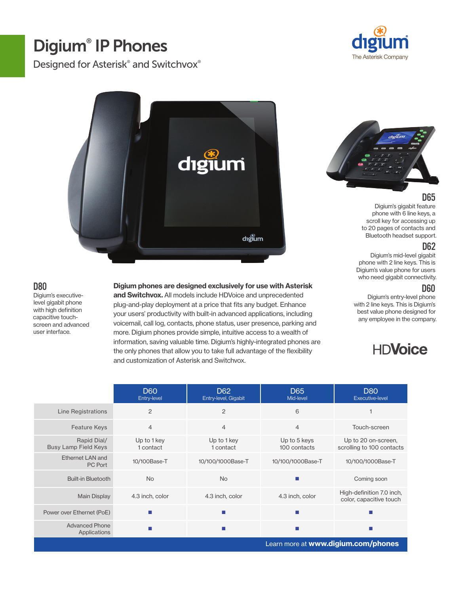# Digium® IP Phones

D80

user interface.

Designed for Asterisk<sup>®</sup> and Switchvox<sup>®</sup>





#### D65

Digium's gigabit feature phone with 6 line keys, a scroll key for accessing up to 20 pages of contacts and Bluetooth headset support.

#### D62

Digium's mid-level gigabit phone with 2 line keys. This is Digium's value phone for users who need gigabit connectivity.

#### D60

Digium's entry-level phone with 2 line keys. This is Digium's best value phone designed for any employee in the company.

# **HDVoice**

|                                            | <b>D60</b><br>Entry-level | D <sub>62</sub><br>Entry-level, Gigabit | D <sub>65</sub><br>Mid-level | <b>D80</b><br><b>Executive-level</b>                 |
|--------------------------------------------|---------------------------|-----------------------------------------|------------------------------|------------------------------------------------------|
| Line Registrations                         | $\overline{2}$            | $\overline{c}$                          | 6                            |                                                      |
| <b>Feature Keys</b>                        | $\overline{4}$            | $\overline{4}$                          | $\overline{4}$               | Touch-screen                                         |
| Rapid Dial/<br><b>Busy Lamp Field Keys</b> | Up to 1 key<br>1 contact  | Up to 1 key<br>1 contact                | Up to 5 keys<br>100 contacts | Up to 20 on-screen,<br>scrolling to 100 contacts     |
| Ethernet LAN and<br>PC Port                | 10/100Base-T              | 10/100/1000Base-T                       | 10/100/1000Base-T            | 10/100/1000Base-T                                    |
| <b>Built-in Bluetooth</b>                  | <b>No</b>                 | <b>No</b>                               | m.                           | Coming soon                                          |
| <b>Main Display</b>                        | 4.3 inch, color           | 4.3 inch, color                         | 4.3 inch, color              | High-definition 7.0 inch,<br>color, capacitive touch |
| Power over Ethernet (PoE)                  | ш                         | ш                                       | m.                           |                                                      |
| <b>Advanced Phone</b><br>Applications      |                           | <b>COL</b>                              | п                            |                                                      |
| Learn more at www.digium.com/phones        |                           |                                         |                              |                                                      |

Digium phones are designed exclusively for use with Asterisk

digium

and Switchvox. All models include HDVoice and unprecedented plug-and-play deployment at a price that fits any budget. Enhance your users' productivity with built-in advanced applications, including voicemail, call log, contacts, phone status, user presence, parking and more. Digium phones provide simple, intuitive access to a wealth of information, saving valuable time. Digium's highly-integrated phones are the only phones that allow you to take full advantage of the flexibility and customization of Asterisk and Switchvox.